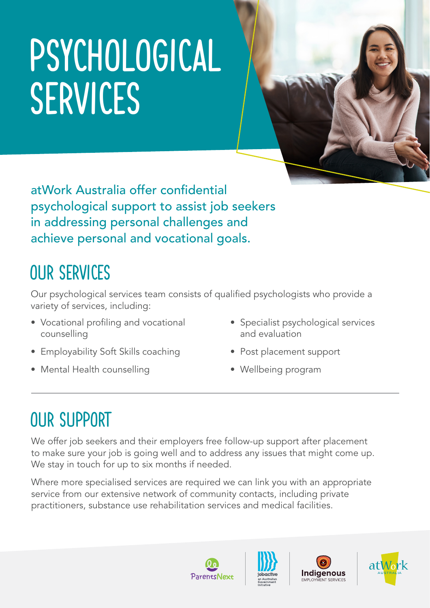# PSYCHOLOGICAL SERVICES

atWork Australia offer confidential psychological support to assist job seekers in addressing personal challenges and achieve personal and vocational goals.

## OUR SERVICES

Our psychological services team consists of qualified psychologists who provide a variety of services, including:

- Vocational profiling and vocational counselling
- Employability Soft Skills coaching
- Mental Health counselling
- Specialist psychological services and evaluation
- Post placement support
- Wellbeing program

### OUR SUPPORT

We offer job seekers and their employers free follow-up support after placement to make sure your job is going well and to address any issues that might come up. We stay in touch for up to six months if needed.

Where more specialised services are required we can link you with an appropriate service from our extensive network of community contacts, including private practitioners, substance use rehabilitation services and medical facilities.